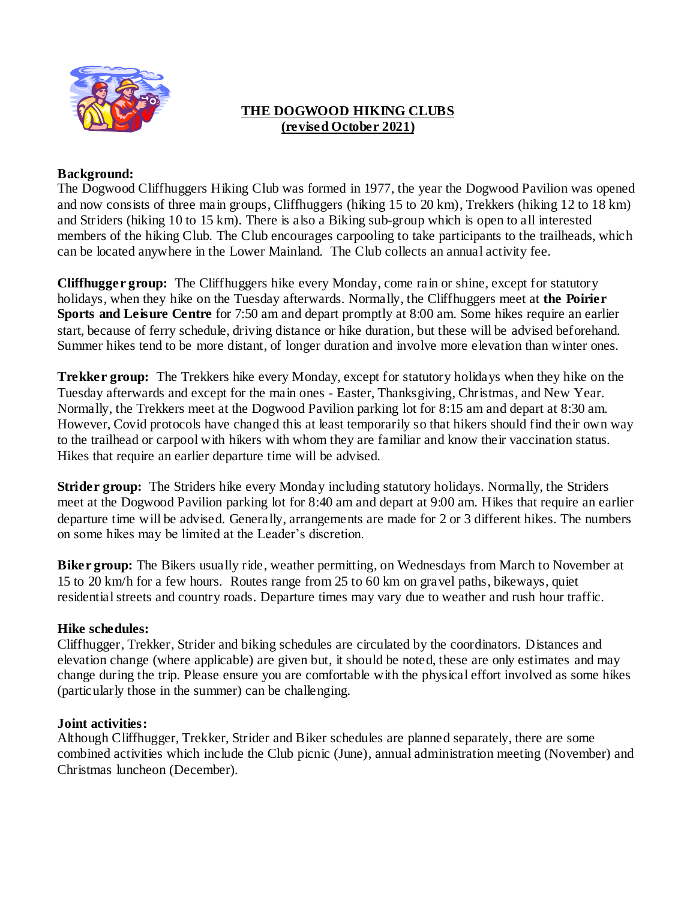

### **THE DOGWOOD HIKING CLUBS (revised October 2021)**

#### **Background:**

The Dogwood Cliffhuggers Hiking Club was formed in 1977, the year the Dogwood Pavilion was opened and now consists of three main groups, Cliffhuggers (hiking 15 to 20 km), Trekkers (hiking 12 to 18 km) and Striders (hiking 10 to 15 km). There is also a Biking sub-group which is open to all interested members of the hiking Club. The Club encourages carpooling to take participants to the trailheads, which can be located anywhere in the Lower Mainland. The Club collects an annual activity fee.

**Cliffhugger group:** The Cliffhuggers hike every Monday, come rain or shine, except for statutory holidays, when they hike on the Tuesday afterwards. Normally, the Cliffhuggers meet at **the Poirier Sports and Leisure Centre** for 7:50 am and depart promptly at 8:00 am. Some hikes require an earlier start, because of ferry schedule, driving distance or hike duration, but these will be advised beforehand. Summer hikes tend to be more distant, of longer duration and involve more elevation than winter ones.

**Trekker group:** The Trekkers hike every Monday, except for statutory holidays when they hike on the Tuesday afterwards and except for the main ones - Easter, Thanksgiving, Christmas, and New Year. Normally, the Trekkers meet at the Dogwood Pavilion parking lot for 8:15 am and depart at 8:30 am. However, Covid protocols have changed this at least temporarily so that hikers should find their own way to the trailhead or carpool with hikers with whom they are familiar and know their vaccination status. Hikes that require an earlier departure time will be advised.

**Strider group:** The Striders hike every Monday including statutory holidays. Normally, the Striders meet at the Dogwood Pavilion parking lot for 8:40 am and depart at 9:00 am. Hikes that require an earlier departure time will be advised. Generally, arrangements are made for 2 or 3 different hikes. The numbers on some hikes may be limited at the Leader's discretion.

**Biker group:** The Bikers usually ride, weather permitting, on Wednesdays from March to November at 15 to 20 km/h for a few hours. Routes range from 25 to 60 km on gravel paths, bikeways, quiet residential streets and country roads. Departure times may vary due to weather and rush hour traffic.

#### **Hike schedules:**

Cliffhugger, Trekker, Strider and biking schedules are circulated by the coordinators. Distances and elevation change (where applicable) are given but, it should be noted, these are only estimates and may change during the trip. Please ensure you are comfortable with the physical effort involved as some hikes (particularly those in the summer) can be challenging.

#### **Joint activities:**

Although Cliffhugger, Trekker, Strider and Biker schedules are planned separately, there are some combined activities which include the Club picnic (June), annual administration meeting (November) and Christmas luncheon (December).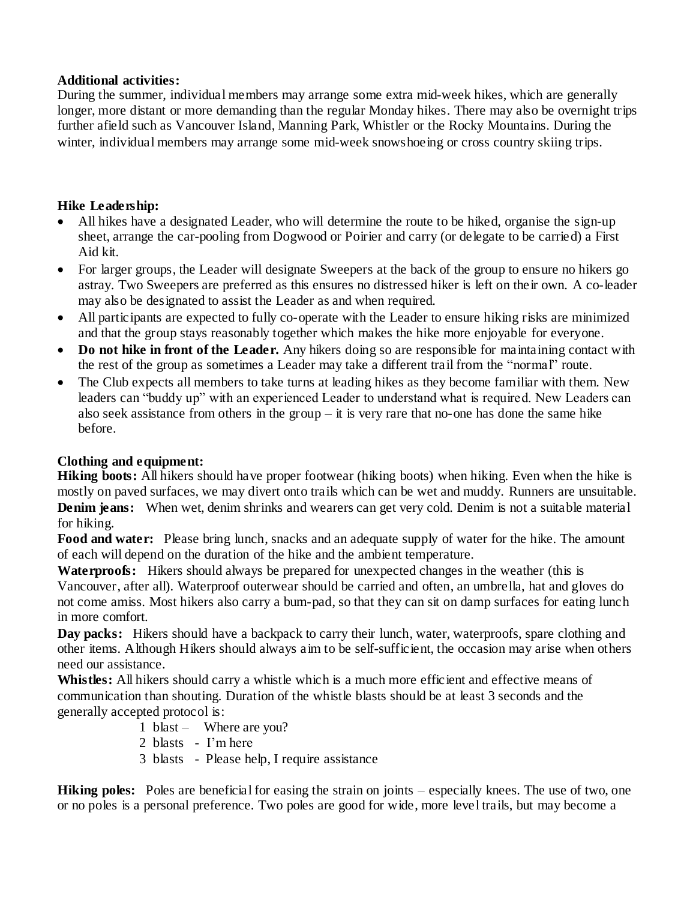### **Additional activities:**

During the summer, individual members may arrange some extra mid-week hikes, which are generally longer, more distant or more demanding than the regular Monday hikes. There may also be overnight trips further afield such as Vancouver Island, Manning Park, Whistler or the Rocky Mountains. During the winter, individual members may arrange some mid-week snowshoeing or cross country skiing trips.

# **Hike Leadership:**

- All hikes have a designated Leader, who will determine the route to be hiked, organise the sign-up sheet, arrange the car-pooling from Dogwood or Poirier and carry (or delegate to be carried) a First Aid kit.
- For larger groups, the Leader will designate Sweepers at the back of the group to ensure no hikers go astray. Two Sweepers are preferred as this ensures no distressed hiker is left on their own. A co-leader may also be designated to assist the Leader as and when required.
- All participants are expected to fully co-operate with the Leader to ensure hiking risks are minimized and that the group stays reasonably together which makes the hike more enjoyable for everyone.
- Do not hike in front of the Leader. Any hikers doing so are responsible for maintaining contact with the rest of the group as sometimes a Leader may take a different trail from the "normal" route.
- The Club expects all members to take turns at leading hikes as they become familiar with them. New leaders can "buddy up" with an experienced Leader to understand what is required. New Leaders can also seek assistance from others in the group – it is very rare that no-one has done the same hike before.

### **Clothing and equipment:**

**Hiking boots:** All hikers should have proper footwear (hiking boots) when hiking. Even when the hike is mostly on paved surfaces, we may divert onto trails which can be wet and muddy. Runners are unsuitable. **Denim jeans:** When wet, denim shrinks and wearers can get very cold. Denim is not a suitable material for hiking.

**Food and water:** Please bring lunch, snacks and an adequate supply of water for the hike. The amount of each will depend on the duration of the hike and the ambient temperature.

**Waterproofs:** Hikers should always be prepared for unexpected changes in the weather (this is Vancouver, after all). Waterproof outerwear should be carried and often, an umbrella, hat and gloves do not come amiss. Most hikers also carry a bum-pad, so that they can sit on damp surfaces for eating lunch in more comfort.

**Day packs:** Hikers should have a backpack to carry their lunch, water, waterproofs, spare clothing and other items. Although Hikers should always aim to be self-sufficient, the occasion may arise when others need our assistance.

**Whistles:** All hikers should carry a whistle which is a much more efficient and effective means of communication than shouting. Duration of the whistle blasts should be at least 3 seconds and the generally accepted protocol is:

- 1 blast Where are you?
- 2 blasts I'm here
- 3 blasts Please help, I require assistance

**Hiking poles:** Poles are beneficial for easing the strain on joints – especially knees. The use of two, one or no poles is a personal preference. Two poles are good for wide, more level trails, but may become a